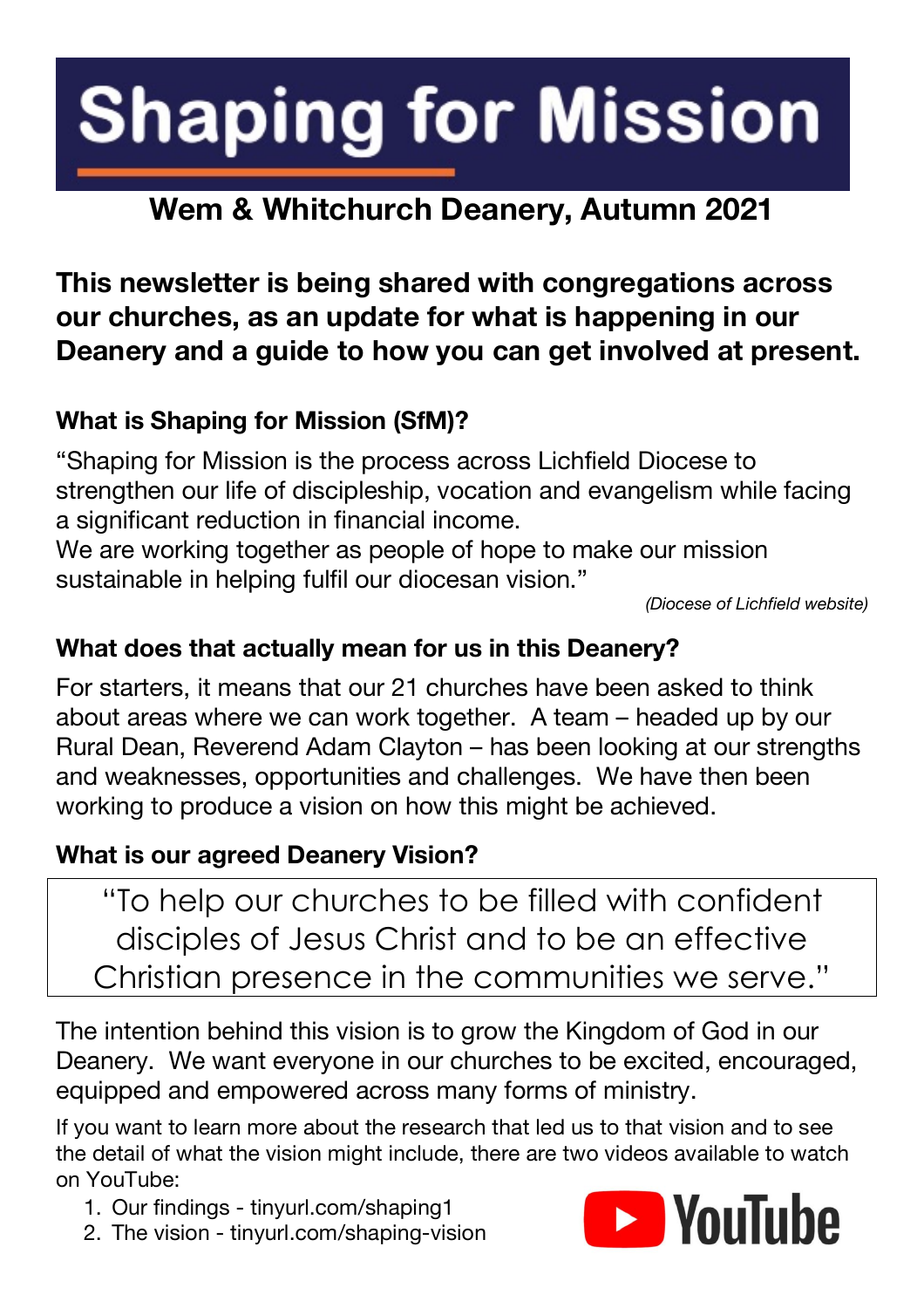# **Shaping for Mission**

# **Wem & Whitchurch Deanery, Autumn 2021**

## **This newsletter is being shared with congregations across our churches, as an update for what is happening in our Deanery and a guide to how you can get involved at present.**

### **What is Shaping for Mission (SfM)?**

"Shaping for Mission is the process across Lichfield Diocese to strengthen our life of discipleship, vocation and evangelism while facing a significant reduction in financial income.

We are working together as people of hope to make our mission sustainable in helping fulfil our diocesan vision."

*(Diocese of Lichfield website)*

### **What does that actually mean for us in this Deanery?**

For starters, it means that our 21 churches have been asked to think about areas where we can work together. A team – headed up by our Rural Dean, Reverend Adam Clayton – has been looking at our strengths and weaknesses, opportunities and challenges. We have then been working to produce a vision on how this might be achieved.

#### **What is our agreed Deanery Vision?**

"To help our churches to be filled with confident disciples of Jesus Christ and to be an effective Christian presence in the communities we serve."

The intention behind this vision is to grow the Kingdom of God in our Deanery. We want everyone in our churches to be excited, encouraged, equipped and empowered across many forms of ministry.

If you want to learn more about the research that led us to that vision and to see the detail of what the vision might include, there are two videos available to watch on YouTube:

- 1. Our findings tinyurl.com/shaping1
- 2. The vision tinyurl.com/shaping-vision

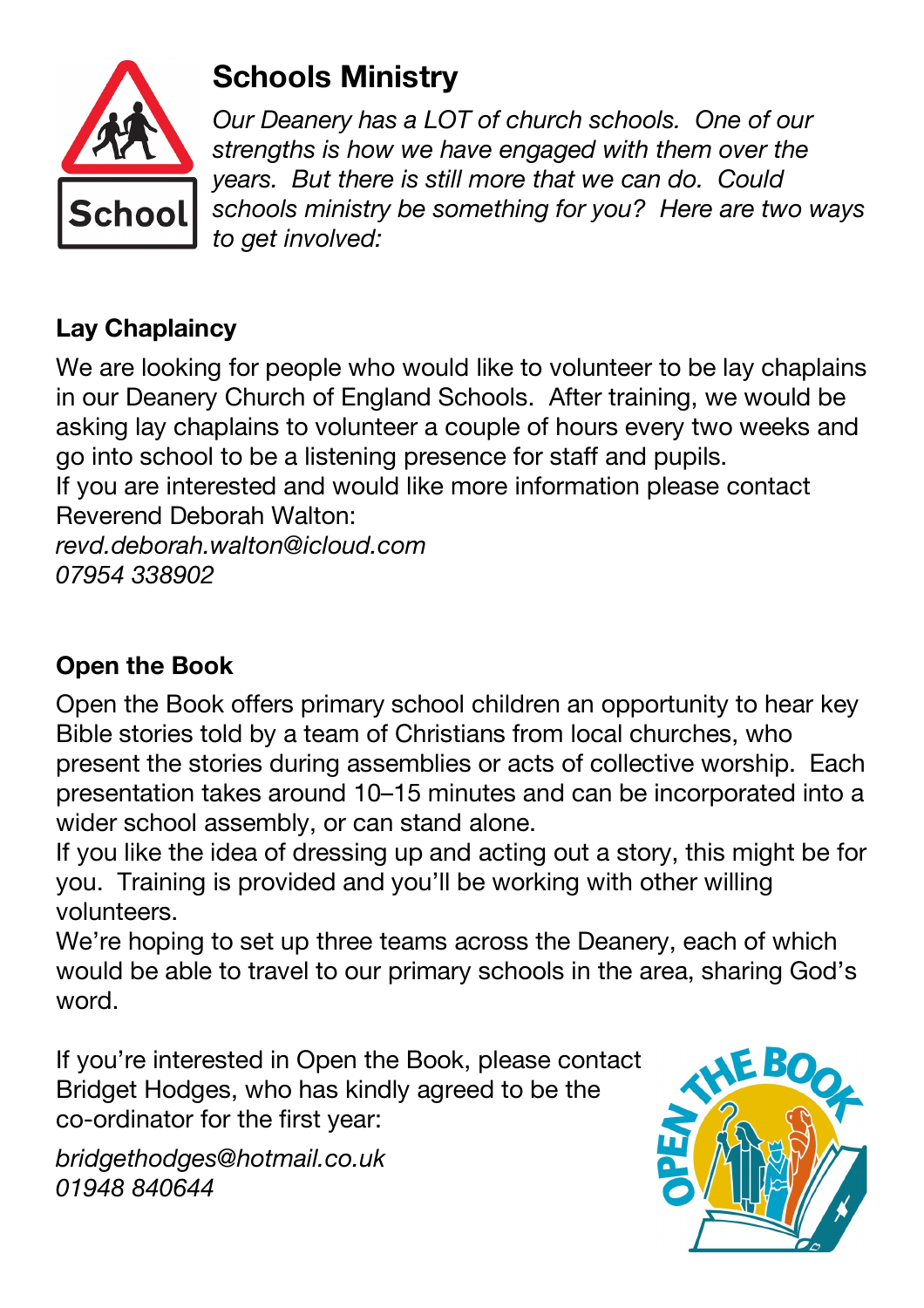

# **Schools Ministry**

*Our Deanery has a LOT of church schools. One of our strengths is how we have engaged with them over the years. But there is still more that we can do. Could schools ministry be something for you? Here are two ways to get involved:*

## **Lay Chaplaincy**

We are looking for people who would like to volunteer to be lay chaplains in our Deanery Church of England Schools. After training, we would be asking lay chaplains to volunteer a couple of hours every two weeks and go into school to be a listening presence for staff and pupils.

If you are interested and would like more information please contact Reverend Deborah Walton:

*revd.deborah.walton@icloud.com 07954 338902*

## **Open the Book**

Open the Book offers primary school children an opportunity to hear key Bible stories told by a team of Christians from local churches, who present the stories during assemblies or acts of collective worship. Each presentation takes around 10–15 minutes and can be incorporated into a wider school assembly, or can stand alone.

If you like the idea of dressing up and acting out a story, this might be for you. Training is provided and you'll be working with other willing volunteers.

We're hoping to set up three teams across the Deanery, each of which would be able to travel to our primary schools in the area, sharing God's word.

If you're interested in Open the Book, please contact Bridget Hodges, who has kindly agreed to be the co-ordinator for the first year:

*bridgethodges@hotmail.co.uk 01948 840644*

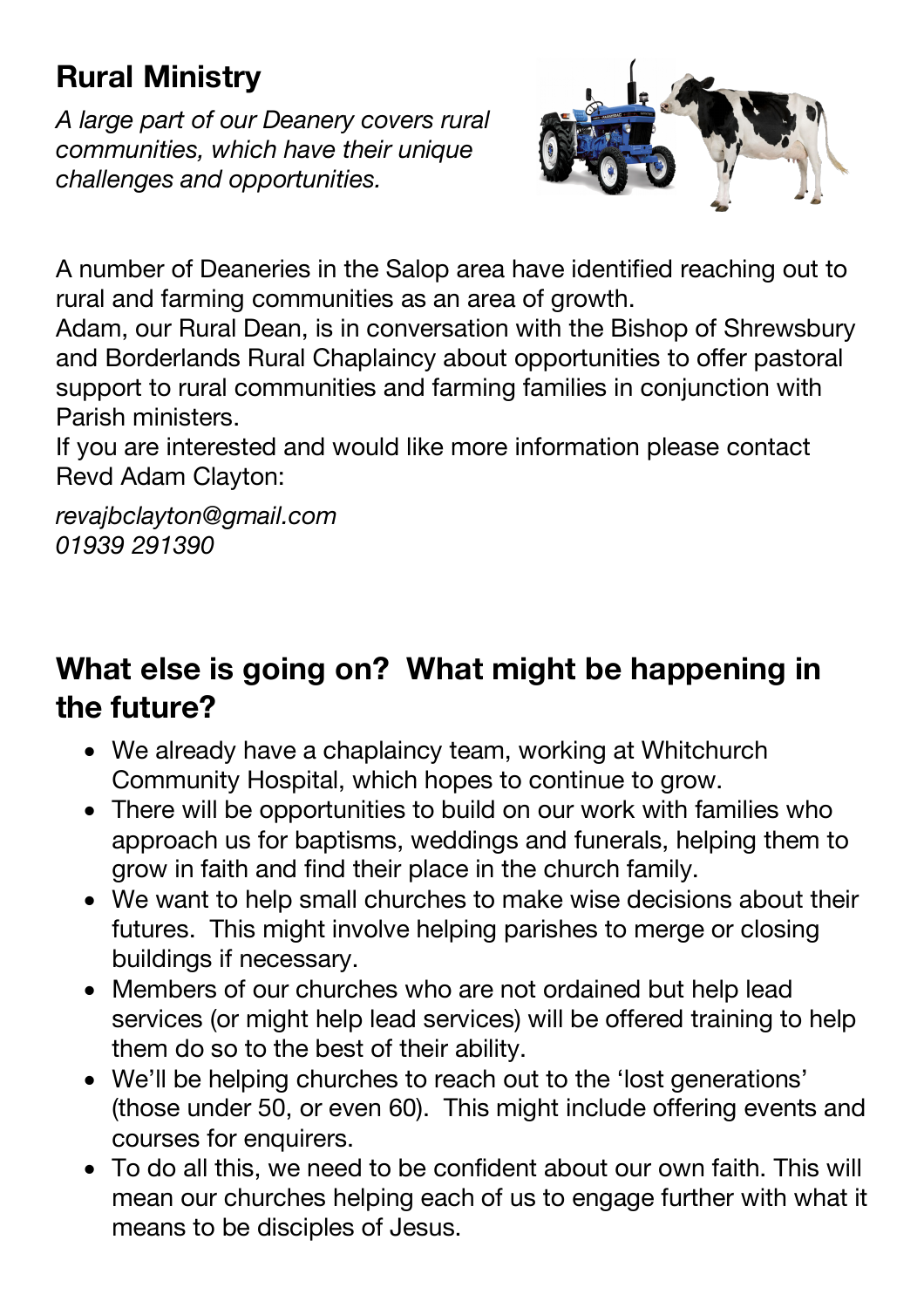# **Rural Ministry**

*A large part of our Deanery covers rural communities, which have their unique challenges and opportunities.*



A number of Deaneries in the Salop area have identified reaching out to rural and farming communities as an area of growth.

Adam, our Rural Dean, is in conversation with the Bishop of Shrewsbury and Borderlands Rural Chaplaincy about opportunities to offer pastoral support to rural communities and farming families in conjunction with Parish ministers.

If you are interested and would like more information please contact Revd Adam Clayton:

*revajbclayton@gmail.com 01939 291390*

## **What else is going on? What might be happening in the future?**

- We already have a chaplaincy team, working at Whitchurch Community Hospital, which hopes to continue to grow.
- There will be opportunities to build on our work with families who approach us for baptisms, weddings and funerals, helping them to grow in faith and find their place in the church family.
- We want to help small churches to make wise decisions about their futures. This might involve helping parishes to merge or closing buildings if necessary.
- Members of our churches who are not ordained but help lead services (or might help lead services) will be offered training to help them do so to the best of their ability.
- We'll be helping churches to reach out to the 'lost generations' (those under 50, or even 60). This might include offering events and courses for enquirers.
- To do all this, we need to be confident about our own faith. This will mean our churches helping each of us to engage further with what it means to be disciples of Jesus.